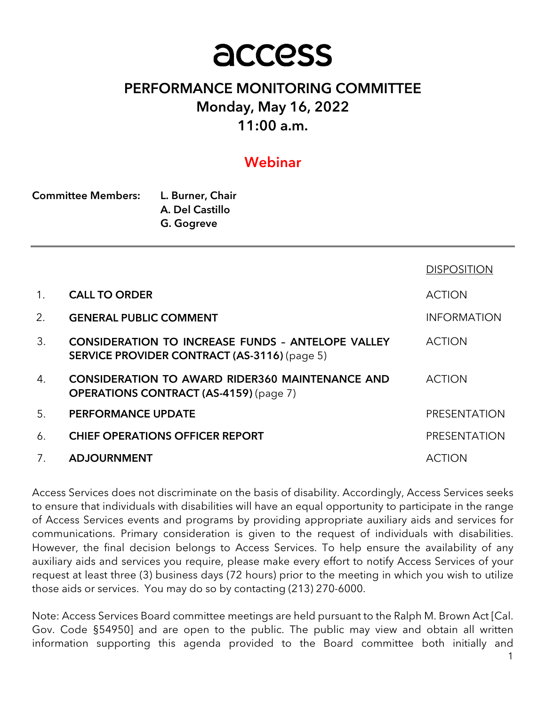# access

# PERFORMANCE MONITORING COMMITTEE Monday, May 16, 2022 11:00 a.m.

# Webinar

| <b>Committee Members:</b> | L. Burner, Chair |  |
|---------------------------|------------------|--|
|                           | A. Del Castillo  |  |
|                           | G. Gogreve       |  |

|                |                                                                                                                 | <b>DISPOSITION</b> |
|----------------|-----------------------------------------------------------------------------------------------------------------|--------------------|
| $\mathbf{1}$ . | <b>CALL TO ORDER</b>                                                                                            | <b>ACTION</b>      |
| 2.             | <b>GENERAL PUBLIC COMMENT</b>                                                                                   | <b>INFORMATION</b> |
| 3.             | <b>CONSIDERATION TO INCREASE FUNDS - ANTELOPE VALLEY</b><br><b>SERVICE PROVIDER CONTRACT (AS-3116) (page 5)</b> | <b>ACTION</b>      |
| 4.             | <b>CONSIDERATION TO AWARD RIDER360 MAINTENANCE AND</b><br><b>OPERATIONS CONTRACT (AS-4159) (page 7)</b>         | <b>ACTION</b>      |
| 5.             | <b>PERFORMANCE UPDATE</b>                                                                                       | PRESENTATION       |
| 6.             | <b>CHIEF OPERATIONS OFFICER REPORT</b>                                                                          | PRESENTATION       |
| 7.             | <b>ADJOURNMENT</b>                                                                                              | ACTION             |

Access Services does not discriminate on the basis of disability. Accordingly, Access Services seeks to ensure that individuals with disabilities will have an equal opportunity to participate in the range of Access Services events and programs by providing appropriate auxiliary aids and services for communications. Primary consideration is given to the request of individuals with disabilities. However, the final decision belongs to Access Services. To help ensure the availability of any auxiliary aids and services you require, please make every effort to notify Access Services of your request at least three (3) business days (72 hours) prior to the meeting in which you wish to utilize those aids or services. You may do so by contacting (213) 270-6000.

Note: Access Services Board committee meetings are held pursuant to the Ralph M. Brown Act [Cal. Gov. Code §54950] and are open to the public. The public may view and obtain all written information supporting this agenda provided to the Board committee both initially and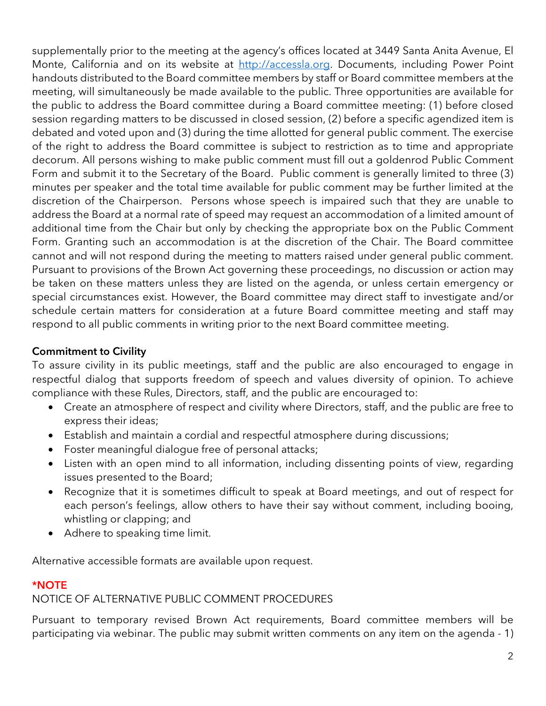supplementally prior to the meeting at the agency's offices located at 3449 Santa Anita Avenue, El Monte, California and on its website at http://accessla.org. Documents, including Power Point handouts distributed to the Board committee members by staff or Board committee members at the meeting, will simultaneously be made available to the public. Three opportunities are available for the public to address the Board committee during a Board committee meeting: (1) before closed session regarding matters to be discussed in closed session, (2) before a specific agendized item is debated and voted upon and (3) during the time allotted for general public comment. The exercise of the right to address the Board committee is subject to restriction as to time and appropriate decorum. All persons wishing to make public comment must fill out a goldenrod Public Comment Form and submit it to the Secretary of the Board. Public comment is generally limited to three (3) minutes per speaker and the total time available for public comment may be further limited at the discretion of the Chairperson. Persons whose speech is impaired such that they are unable to address the Board at a normal rate of speed may request an accommodation of a limited amount of additional time from the Chair but only by checking the appropriate box on the Public Comment Form. Granting such an accommodation is at the discretion of the Chair. The Board committee cannot and will not respond during the meeting to matters raised under general public comment. Pursuant to provisions of the Brown Act governing these proceedings, no discussion or action may be taken on these matters unless they are listed on the agenda, or unless certain emergency or special circumstances exist. However, the Board committee may direct staff to investigate and/or schedule certain matters for consideration at a future Board committee meeting and staff may respond to all public comments in writing prior to the next Board committee meeting.

# Commitment to Civility

To assure civility in its public meetings, staff and the public are also encouraged to engage in respectful dialog that supports freedom of speech and values diversity of opinion. To achieve compliance with these Rules, Directors, staff, and the public are encouraged to:

- Create an atmosphere of respect and civility where Directors, staff, and the public are free to express their ideas;
- Establish and maintain a cordial and respectful atmosphere during discussions;
- Foster meaningful dialogue free of personal attacks;
- Listen with an open mind to all information, including dissenting points of view, regarding issues presented to the Board;
- Recognize that it is sometimes difficult to speak at Board meetings, and out of respect for each person's feelings, allow others to have their say without comment, including booing, whistling or clapping; and
- Adhere to speaking time limit.

Alternative accessible formats are available upon request.

# \*NOTE

# NOTICE OF ALTERNATIVE PUBLIC COMMENT PROCEDURES

Pursuant to temporary revised Brown Act requirements, Board committee members will be participating via webinar. The public may submit written comments on any item on the agenda - 1)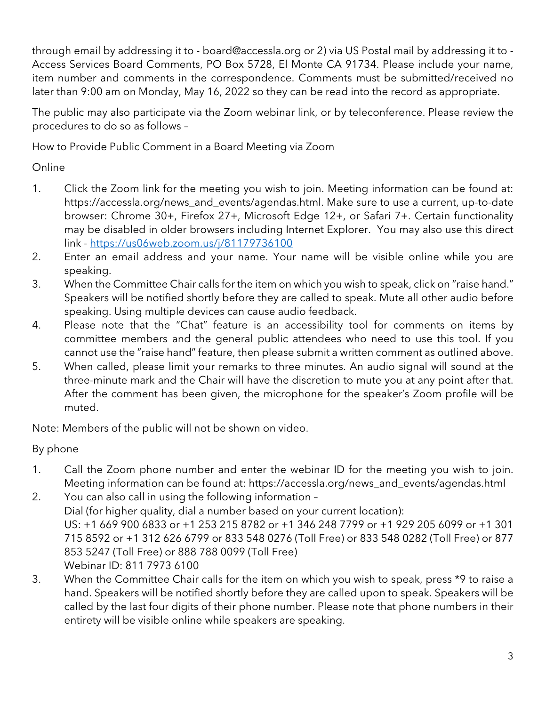through email by addressing it to - board@accessla.org or 2) via US Postal mail by addressing it to - Access Services Board Comments, PO Box 5728, El Monte CA 91734. Please include your name, item number and comments in the correspondence. Comments must be submitted/received no later than 9:00 am on Monday, May 16, 2022 so they can be read into the record as appropriate.

The public may also participate via the Zoom webinar link, or by teleconference. Please review the procedures to do so as follows –

How to Provide Public Comment in a Board Meeting via Zoom

Online

- 1. Click the Zoom link for the meeting you wish to join. Meeting information can be found at: https://accessla.org/news\_and\_events/agendas.html. Make sure to use a current, up-to-date browser: Chrome 30+, Firefox 27+, Microsoft Edge 12+, or Safari 7+. Certain functionality may be disabled in older browsers including Internet Explorer. You may also use this direct link - https://us06web.zoom.us/j/81179736100
- 2. Enter an email address and your name. Your name will be visible online while you are speaking.
- 3. When the Committee Chair calls for the item on which you wish to speak, click on "raise hand." Speakers will be notified shortly before they are called to speak. Mute all other audio before speaking. Using multiple devices can cause audio feedback.
- 4. Please note that the "Chat" feature is an accessibility tool for comments on items by committee members and the general public attendees who need to use this tool. If you cannot use the "raise hand" feature, then please submit a written comment as outlined above.
- 5. When called, please limit your remarks to three minutes. An audio signal will sound at the three-minute mark and the Chair will have the discretion to mute you at any point after that. After the comment has been given, the microphone for the speaker's Zoom profile will be muted.

Note: Members of the public will not be shown on video.

By phone

- 1. Call the Zoom phone number and enter the webinar ID for the meeting you wish to join. Meeting information can be found at: https://accessla.org/news\_and\_events/agendas.html
- 2. You can also call in using the following information Dial (for higher quality, dial a number based on your current location): US: +1 669 900 6833 or +1 253 215 8782 or +1 346 248 7799 or +1 929 205 6099 or +1 301 715 8592 or +1 312 626 6799 or 833 548 0276 (Toll Free) or 833 548 0282 (Toll Free) or 877 853 5247 (Toll Free) or 888 788 0099 (Toll Free) Webinar ID: 811 7973 6100
- 3. When the Committee Chair calls for the item on which you wish to speak, press \*9 to raise a hand. Speakers will be notified shortly before they are called upon to speak. Speakers will be called by the last four digits of their phone number. Please note that phone numbers in their entirety will be visible online while speakers are speaking.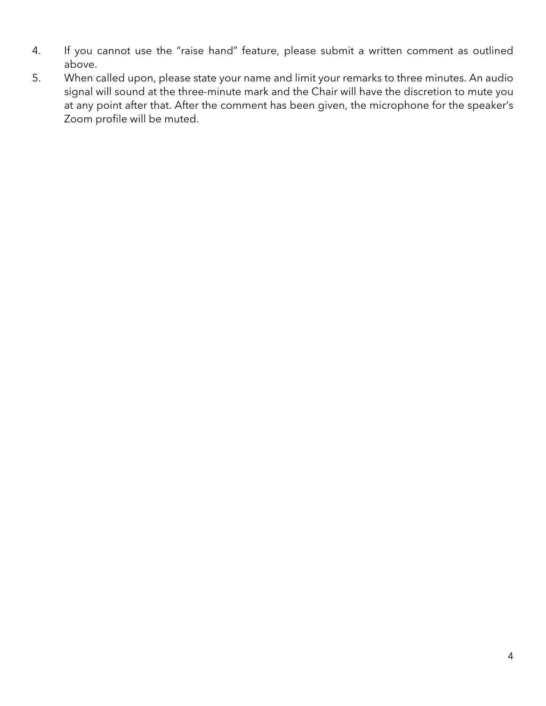- 4. If you cannot use the "raise hand" feature, please submit a written comment as outlined above.
- 5. When called upon, please state your name and limit your remarks to three minutes. An audio signal will sound at the three-minute mark and the Chair will have the discretion to mute you at any point after that. After the comment has been given, the microphone for the speaker's Zoom profile will be muted.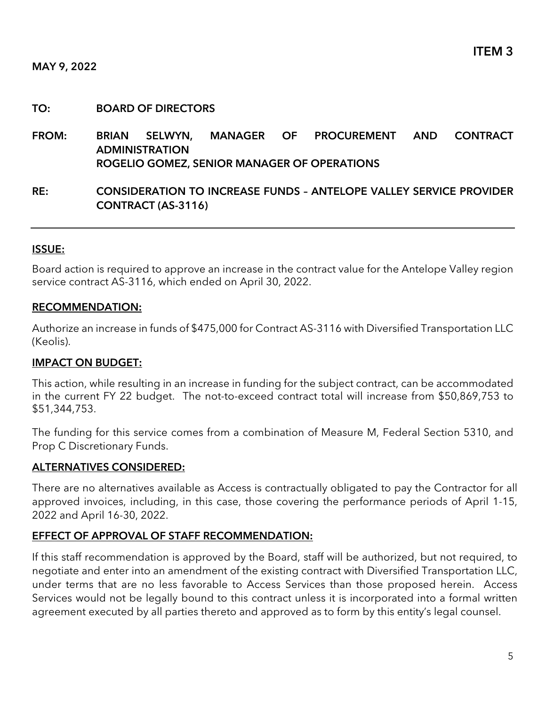# TO: BOARD OF DIRECTORS

- FROM: BRIAN SELWYN, MANAGER OF PROCUREMENT AND CONTRACT ADMINISTRATION ROGELIO GOMEZ, SENIOR MANAGER OF OPERATIONS
- RE: CONSIDERATION TO INCREASE FUNDS ANTELOPE VALLEY SERVICE PROVIDER CONTRACT (AS-3116)

# ISSUE:

Board action is required to approve an increase in the contract value for the Antelope Valley region service contract AS-3116, which ended on April 30, 2022.

# RECOMMENDATION:

Authorize an increase in funds of \$475,000 for Contract AS-3116 with Diversified Transportation LLC (Keolis).

# IMPACT ON BUDGET:

This action, while resulting in an increase in funding for the subject contract, can be accommodated in the current FY 22 budget. The not-to-exceed contract total will increase from \$50,869,753 to \$51,344,753.

The funding for this service comes from a combination of Measure M, Federal Section 5310, and Prop C Discretionary Funds.

#### ALTERNATIVES CONSIDERED:

There are no alternatives available as Access is contractually obligated to pay the Contractor for all approved invoices, including, in this case, those covering the performance periods of April 1-15, 2022 and April 16-30, 2022.

# EFFECT OF APPROVAL OF STAFF RECOMMENDATION:

If this staff recommendation is approved by the Board, staff will be authorized, but not required, to negotiate and enter into an amendment of the existing contract with Diversified Transportation LLC, under terms that are no less favorable to Access Services than those proposed herein. Access Services would not be legally bound to this contract unless it is incorporated into a formal written agreement executed by all parties thereto and approved as to form by this entity's legal counsel.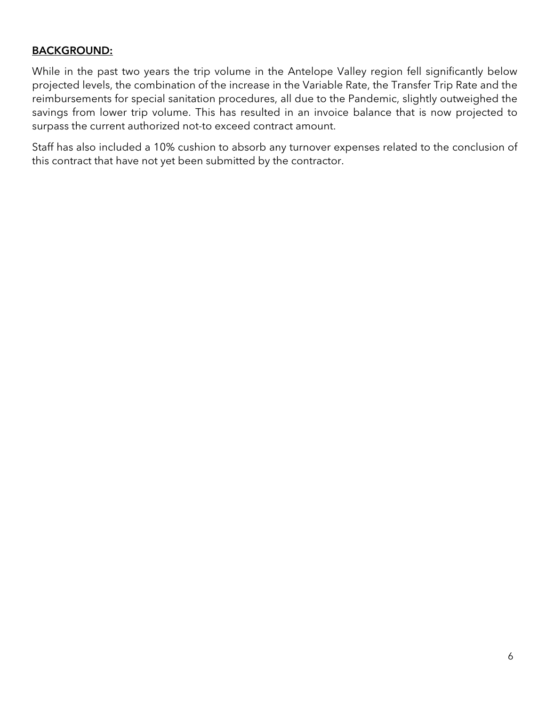# BACKGROUND:

While in the past two years the trip volume in the Antelope Valley region fell significantly below projected levels, the combination of the increase in the Variable Rate, the Transfer Trip Rate and the reimbursements for special sanitation procedures, all due to the Pandemic, slightly outweighed the savings from lower trip volume. This has resulted in an invoice balance that is now projected to surpass the current authorized not-to exceed contract amount.

Staff has also included a 10% cushion to absorb any turnover expenses related to the conclusion of this contract that have not yet been submitted by the contractor.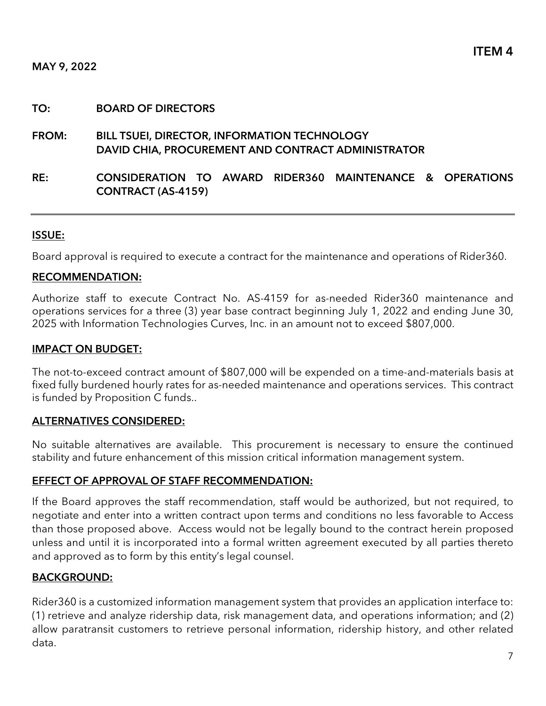# TO: BOARD OF DIRECTORS

- FROM: BILL TSUEI, DIRECTOR, INFORMATION TECHNOLOGY DAVID CHIA, PROCUREMENT AND CONTRACT ADMINISTRATOR
- RE: CONSIDERATION TO AWARD RIDER360 MAINTENANCE & OPERATIONS CONTRACT (AS-4159)

# ISSUE:

Board approval is required to execute a contract for the maintenance and operations of Rider360.

#### RECOMMENDATION:

Authorize staff to execute Contract No. AS-4159 for as-needed Rider360 maintenance and operations services for a three (3) year base contract beginning July 1, 2022 and ending June 30, 2025 with Information Technologies Curves, Inc. in an amount not to exceed \$807,000.

# IMPACT ON BUDGET:

The not-to-exceed contract amount of \$807,000 will be expended on a time-and-materials basis at fixed fully burdened hourly rates for as-needed maintenance and operations services. This contract is funded by Proposition C funds..

# ALTERNATIVES CONSIDERED:

No suitable alternatives are available. This procurement is necessary to ensure the continued stability and future enhancement of this mission critical information management system.

# EFFECT OF APPROVAL OF STAFF RECOMMENDATION:

If the Board approves the staff recommendation, staff would be authorized, but not required, to negotiate and enter into a written contract upon terms and conditions no less favorable to Access than those proposed above. Access would not be legally bound to the contract herein proposed unless and until it is incorporated into a formal written agreement executed by all parties thereto and approved as to form by this entity's legal counsel.

# BACKGROUND:

Rider360 is a customized information management system that provides an application interface to: (1) retrieve and analyze ridership data, risk management data, and operations information; and (2) allow paratransit customers to retrieve personal information, ridership history, and other related data.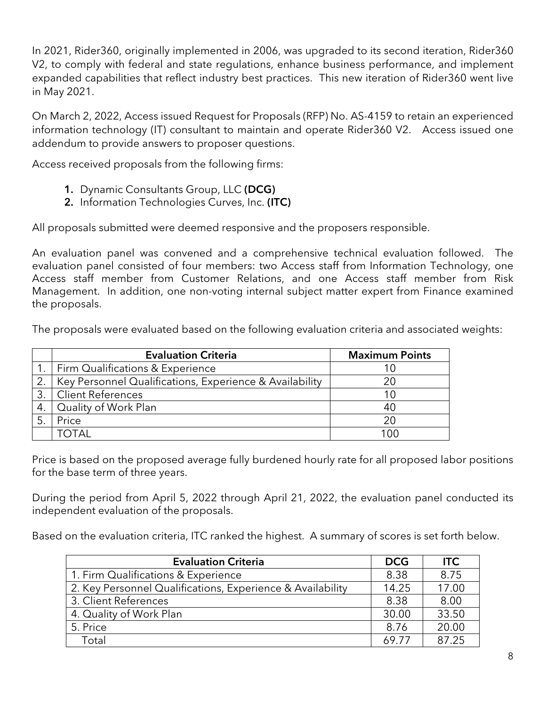In 2021, Rider360, originally implemented in 2006, was upgraded to its second iteration, Rider360 V2, to comply with federal and state regulations, enhance business performance, and implement expanded capabilities that reflect industry best practices. This new iteration of Rider360 went live in May 2021.

On March 2, 2022, Access issued Request for Proposals (RFP) No. AS-4159 to retain an experienced information technology (IT) consultant to maintain and operate Rider360 V2. Access issued one addendum to provide answers to proposer questions.

Access received proposals from the following firms:

- 1. Dynamic Consultants Group, LLC (DCG)
- 2. Information Technologies Curves, Inc. (ITC)

All proposals submitted were deemed responsive and the proposers responsible.

An evaluation panel was convened and a comprehensive technical evaluation followed. The evaluation panel consisted of four members: two Access staff from Information Technology, one Access staff member from Customer Relations, and one Access staff member from Risk Management. In addition, one non-voting internal subject matter expert from Finance examined the proposals.

The proposals were evaluated based on the following evaluation criteria and associated weights:

|                  | <b>Evaluation Criteria</b>                              | <b>Maximum Points</b> |
|------------------|---------------------------------------------------------|-----------------------|
|                  | Firm Qualifications & Experience                        |                       |
| $\overline{2}$ . | Key Personnel Qualifications, Experience & Availability | 20                    |
|                  | l Client References                                     |                       |
| 4.               | Quality of Work Plan                                    | 40                    |
|                  | Price                                                   | 20                    |
|                  | TOTAI.                                                  | n                     |

Price is based on the proposed average fully burdened hourly rate for all proposed labor positions for the base term of three years.

During the period from April 5, 2022 through April 21, 2022, the evaluation panel conducted its independent evaluation of the proposals.

Based on the evaluation criteria, ITC ranked the highest. A summary of scores is set forth below.

| <b>Evaluation Criteria</b>                                 | <b>DCG</b> | <b>ITC</b> |
|------------------------------------------------------------|------------|------------|
| 1. Firm Qualifications & Experience                        | 8.38       | 8.75       |
| 2. Key Personnel Qualifications, Experience & Availability | 14.25      | 17.00      |
| 3. Client References                                       | 8.38       | 8.00       |
| 4. Quality of Work Plan                                    | 30.00      | 33.50      |
| 5. Price                                                   | 8.76       | 20.00      |
| Total                                                      | 69 77      | 87.25      |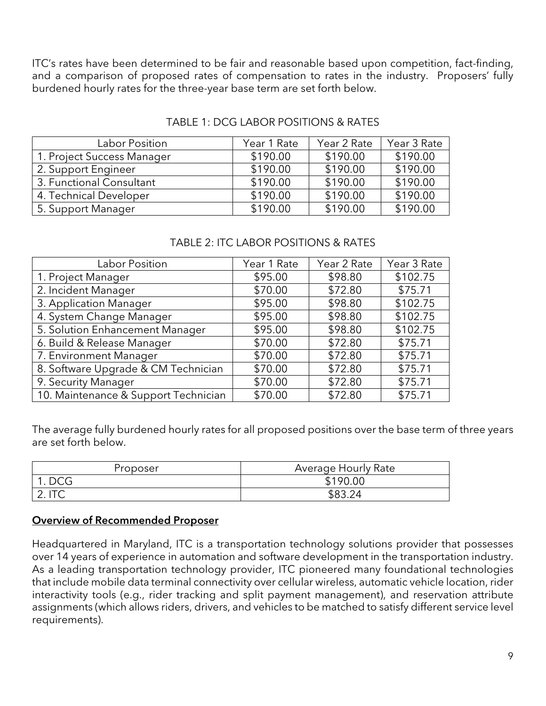ITC's rates have been determined to be fair and reasonable based upon competition, fact-finding, and a comparison of proposed rates of compensation to rates in the industry. Proposers' fully burdened hourly rates for the three-year base term are set forth below.

| Labor Position             | Year 1 Rate | Year 2 Rate | Year 3 Rate |
|----------------------------|-------------|-------------|-------------|
| 1. Project Success Manager | \$190.00    | \$190.00    | \$190.00    |
| 2. Support Engineer        | \$190.00    | \$190.00    | \$190.00    |
| 3. Functional Consultant   | \$190.00    | \$190.00    | \$190.00    |
| 4. Technical Developer     | \$190.00    | \$190.00    | \$190.00    |
| 5. Support Manager         | \$190.00    | \$190.00    | \$190.00    |

# TABLE 1: DCG LABOR POSITIONS & RATES

# TABLE 2: ITC LABOR POSITIONS & RATES

| Labor Position                       | Year 1 Rate | Year 2 Rate | Year 3 Rate |
|--------------------------------------|-------------|-------------|-------------|
| 1. Project Manager                   | \$95.00     | \$98.80     | \$102.75    |
| 2. Incident Manager                  | \$70.00     | \$72.80     | \$75.71     |
| 3. Application Manager               | \$95.00     | \$98.80     | \$102.75    |
| 4. System Change Manager             | \$95.00     | \$98.80     | \$102.75    |
| 5. Solution Enhancement Manager      | \$95.00     | \$98.80     | \$102.75    |
| 6. Build & Release Manager           | \$70.00     | \$72.80     | \$75.71     |
| 7. Environment Manager               | \$70.00     | \$72.80     | \$75.71     |
| 8. Software Upgrade & CM Technician  | \$70.00     | \$72.80     | \$75.71     |
| 9. Security Manager                  | \$70.00     | \$72.80     | \$75.71     |
| 10. Maintenance & Support Technician | \$70.00     | \$72.80     | \$75.71     |

The average fully burdened hourly rates for all proposed positions over the base term of three years are set forth below.

| Proposer                                               | Average Hourly Rate            |
|--------------------------------------------------------|--------------------------------|
| 1. DCG                                                 | \$190.00                       |
| $\Gamma$<br>$\mathsf{L}\mathsf{.}\mathsf{H}\mathsf{C}$ | \$83.<br>$\mathcal{P} \Lambda$ |

# Overview of Recommended Proposer

Headquartered in Maryland, ITC is a transportation technology solutions provider that possesses over 14 years of experience in automation and software development in the transportation industry. As a leading transportation technology provider, ITC pioneered many foundational technologies that include mobile data terminal connectivity over cellular wireless, automatic vehicle location, rider interactivity tools (e.g., rider tracking and split payment management), and reservation attribute assignments (which allows riders, drivers, and vehicles to be matched to satisfy different service level requirements).